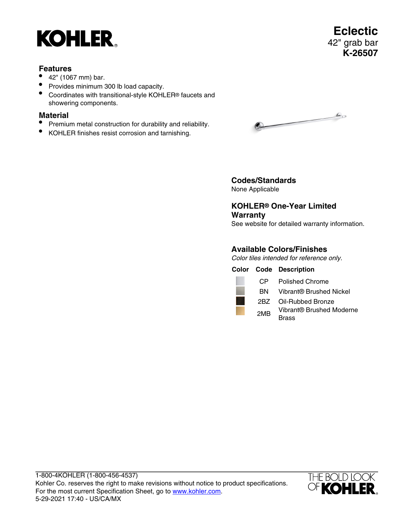# **KOHLER**

- 42" (1067 mm) bar.
- Provides minimum 300 lb load capacity.
- Coordinates with transitional-style KOHLER® faucets and showering components.

### **Material**

- Premium metal construction for durability and reliability.
- KOHLER finishes resist corrosion and tarnishing.

 $\sqrt{a}$ 

**Codes/Standards** None Applicable

**KOHLER® One-Year Limited Warranty** See website for detailed warranty information.

## **Available Colors/Finishes**

Color tiles intended for reference only.

**Color Code Description**



BN Vibrant® Brushed Nickel

2BZ Oil-Rubbed Bronze

2MB Vibrant® Brushed Moderne Brass

1-800-4KOHLER (1-800-456-4537) Kohler Co. reserves the right to make revisions without notice to product specifications. For the most current Specification Sheet, go to [www.kohler.com](http://www.kohler.com). 5-29-2021 17:40 - US/CA/MX